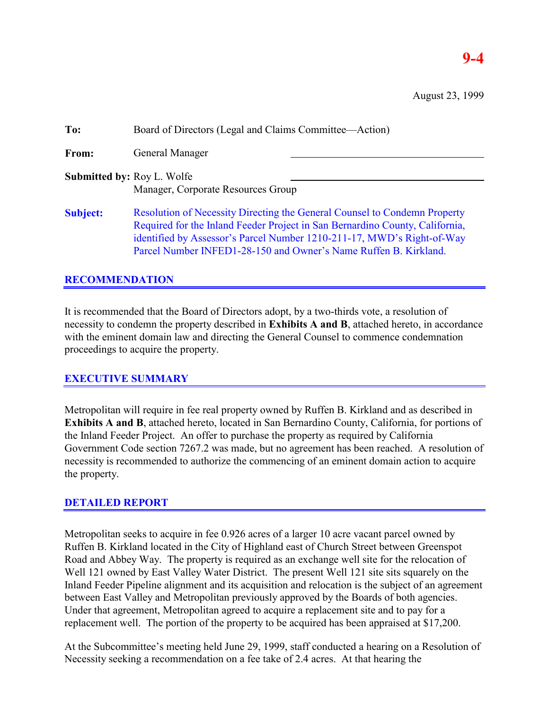# **9-4**

August 23, 1999

| To:                               | Board of Directors (Legal and Claims Committee—Action)                                                                                                                                                                                                                                                         |
|-----------------------------------|----------------------------------------------------------------------------------------------------------------------------------------------------------------------------------------------------------------------------------------------------------------------------------------------------------------|
| From:                             | General Manager                                                                                                                                                                                                                                                                                                |
| <b>Submitted by: Roy L. Wolfe</b> | Manager, Corporate Resources Group                                                                                                                                                                                                                                                                             |
| <b>Subject:</b>                   | <b>Resolution of Necessity Directing the General Counsel to Condemn Property</b><br>Required for the Inland Feeder Project in San Bernardino County, California,<br>identified by Assessor's Parcel Number 1210-211-17, MWD's Right-of-Way<br>Parcel Number INFED1-28-150 and Owner's Name Ruffen B. Kirkland. |

## **RECOMMENDATION**

It is recommended that the Board of Directors adopt, by a two-thirds vote, a resolution of necessity to condemn the property described in **Exhibits A and B**, attached hereto, in accordance with the eminent domain law and directing the General Counsel to commence condemnation proceedings to acquire the property.

## **EXECUTIVE SUMMARY**

Metropolitan will require in fee real property owned by Ruffen B. Kirkland and as described in **Exhibits A and B**, attached hereto, located in San Bernardino County, California, for portions of the Inland Feeder Project. An offer to purchase the property as required by California Government Code section 7267.2 was made, but no agreement has been reached. A resolution of necessity is recommended to authorize the commencing of an eminent domain action to acquire the property.

## **DETAILED REPORT**

Metropolitan seeks to acquire in fee 0.926 acres of a larger 10 acre vacant parcel owned by Ruffen B. Kirkland located in the City of Highland east of Church Street between Greenspot Road and Abbey Way. The property is required as an exchange well site for the relocation of Well 121 owned by East Valley Water District. The present Well 121 site sits squarely on the Inland Feeder Pipeline alignment and its acquisition and relocation is the subject of an agreement between East Valley and Metropolitan previously approved by the Boards of both agencies. Under that agreement, Metropolitan agreed to acquire a replacement site and to pay for a replacement well. The portion of the property to be acquired has been appraised at \$17,200.

At the Subcommittee's meeting held June 29, 1999, staff conducted a hearing on a Resolution of Necessity seeking a recommendation on a fee take of 2.4 acres. At that hearing the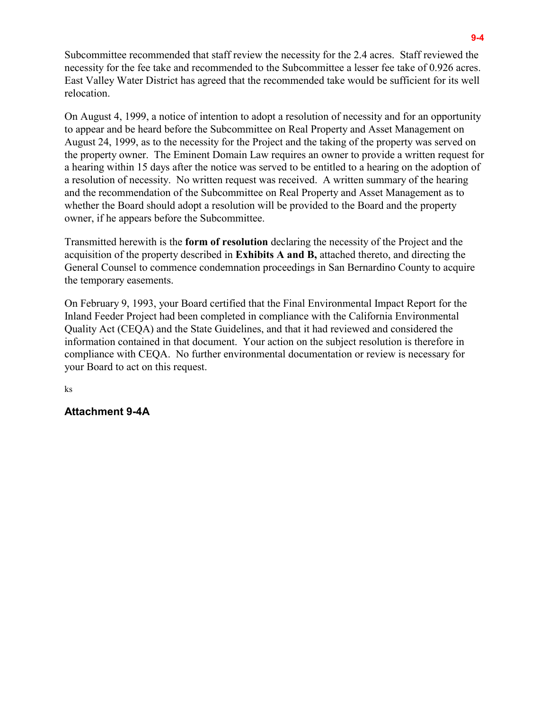Subcommittee recommended that staff review the necessity for the 2.4 acres. Staff reviewed the necessity for the fee take and recommended to the Subcommittee a lesser fee take of 0.926 acres. East Valley Water District has agreed that the recommended take would be sufficient for its well relocation.

On August 4, 1999, a notice of intention to adopt a resolution of necessity and for an opportunity to appear and be heard before the Subcommittee on Real Property and Asset Management on August 24, 1999, as to the necessity for the Project and the taking of the property was served on the property owner. The Eminent Domain Law requires an owner to provide a written request for a hearing within 15 days after the notice was served to be entitled to a hearing on the adoption of a resolution of necessity. No written request was received. A written summary of the hearing and the recommendation of the Subcommittee on Real Property and Asset Management as to whether the Board should adopt a resolution will be provided to the Board and the property owner, if he appears before the Subcommittee.

Transmitted herewith is the **form of resolution** declaring the necessity of the Project and the acquisition of the property described in **Exhibits A and B,** attached thereto, and directing the General Counsel to commence condemnation proceedings in San Bernardino County to acquire the temporary easements.

On February 9, 1993, your Board certified that the Final Environmental Impact Report for the Inland Feeder Project had been completed in compliance with the California Environmental Quality Act (CEQA) and the State Guidelines, and that it had reviewed and considered the information contained in that document. Your action on the subject resolution is therefore in compliance with CEQA. No further environmental documentation or review is necessary for your Board to act on this request.

ks

## **Attachment 9-4A**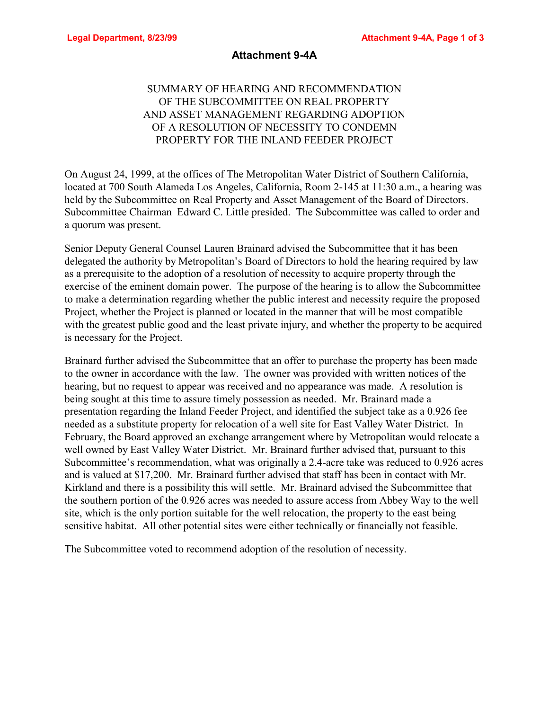#### **Attachment 9-4A**

## SUMMARY OF HEARING AND RECOMMENDATION OF THE SUBCOMMITTEE ON REAL PROPERTY AND ASSET MANAGEMENT REGARDING ADOPTION OF A RESOLUTION OF NECESSITY TO CONDEMN PROPERTY FOR THE INLAND FEEDER PROJECT

On August 24, 1999, at the offices of The Metropolitan Water District of Southern California, located at 700 South Alameda Los Angeles, California, Room 2-145 at 11:30 a.m., a hearing was held by the Subcommittee on Real Property and Asset Management of the Board of Directors. Subcommittee Chairman Edward C. Little presided. The Subcommittee was called to order and a quorum was present.

Senior Deputy General Counsel Lauren Brainard advised the Subcommittee that it has been delegated the authority by Metropolitan's Board of Directors to hold the hearing required by law as a prerequisite to the adoption of a resolution of necessity to acquire property through the exercise of the eminent domain power. The purpose of the hearing is to allow the Subcommittee to make a determination regarding whether the public interest and necessity require the proposed Project, whether the Project is planned or located in the manner that will be most compatible with the greatest public good and the least private injury, and whether the property to be acquired is necessary for the Project.

Brainard further advised the Subcommittee that an offer to purchase the property has been made to the owner in accordance with the law. The owner was provided with written notices of the hearing, but no request to appear was received and no appearance was made. A resolution is being sought at this time to assure timely possession as needed. Mr. Brainard made a presentation regarding the Inland Feeder Project, and identified the subject take as a 0.926 fee needed as a substitute property for relocation of a well site for East Valley Water District. In February, the Board approved an exchange arrangement where by Metropolitan would relocate a well owned by East Valley Water District. Mr. Brainard further advised that, pursuant to this Subcommittee's recommendation, what was originally a 2.4-acre take was reduced to 0.926 acres and is valued at \$17,200. Mr. Brainard further advised that staff has been in contact with Mr. Kirkland and there is a possibility this will settle. Mr. Brainard advised the Subcommittee that the southern portion of the 0.926 acres was needed to assure access from Abbey Way to the well site, which is the only portion suitable for the well relocation, the property to the east being sensitive habitat. All other potential sites were either technically or financially not feasible.

The Subcommittee voted to recommend adoption of the resolution of necessity.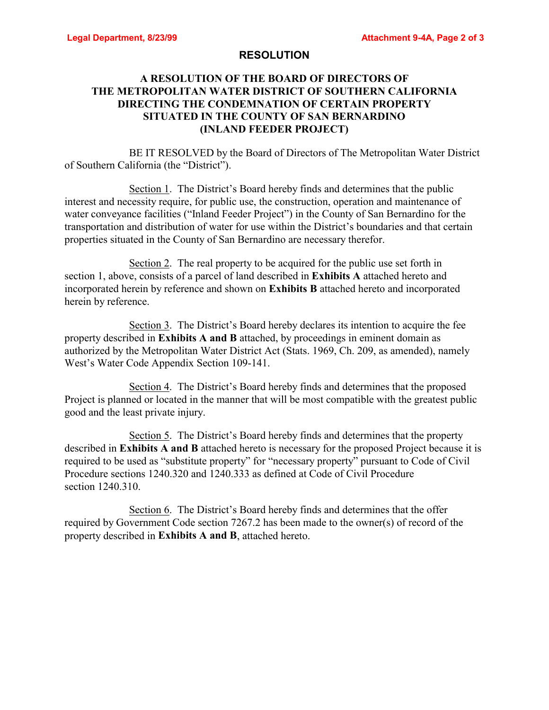#### **RESOLUTION**

## **A RESOLUTION OF THE BOARD OF DIRECTORS OF THE METROPOLITAN WATER DISTRICT OF SOUTHERN CALIFORNIA DIRECTING THE CONDEMNATION OF CERTAIN PROPERTY SITUATED IN THE COUNTY OF SAN BERNARDINO (INLAND FEEDER PROJECT)**

BE IT RESOLVED by the Board of Directors of The Metropolitan Water District of Southern California (the "District").

Section 1. The District's Board hereby finds and determines that the public interest and necessity require, for public use, the construction, operation and maintenance of water conveyance facilities ("Inland Feeder Project") in the County of San Bernardino for the transportation and distribution of water for use within the District's boundaries and that certain properties situated in the County of San Bernardino are necessary therefor.

Section 2. The real property to be acquired for the public use set forth in section 1, above, consists of a parcel of land described in **Exhibits A** attached hereto and incorporated herein by reference and shown on **Exhibits B** attached hereto and incorporated herein by reference.

Section 3. The District's Board hereby declares its intention to acquire the fee property described in **Exhibits A and B** attached, by proceedings in eminent domain as authorized by the Metropolitan Water District Act (Stats. 1969, Ch. 209, as amended), namely West's Water Code Appendix Section 109-141.

Section 4. The District's Board hereby finds and determines that the proposed Project is planned or located in the manner that will be most compatible with the greatest public good and the least private injury.

Section 5. The District's Board hereby finds and determines that the property described in **Exhibits A and B** attached hereto is necessary for the proposed Project because it is required to be used as "substitute property" for "necessary property" pursuant to Code of Civil Procedure sections 1240.320 and 1240.333 as defined at Code of Civil Procedure section 1240.310.

Section 6. The District's Board hereby finds and determines that the offer required by Government Code section 7267.2 has been made to the owner(s) of record of the property described in **Exhibits A and B**, attached hereto.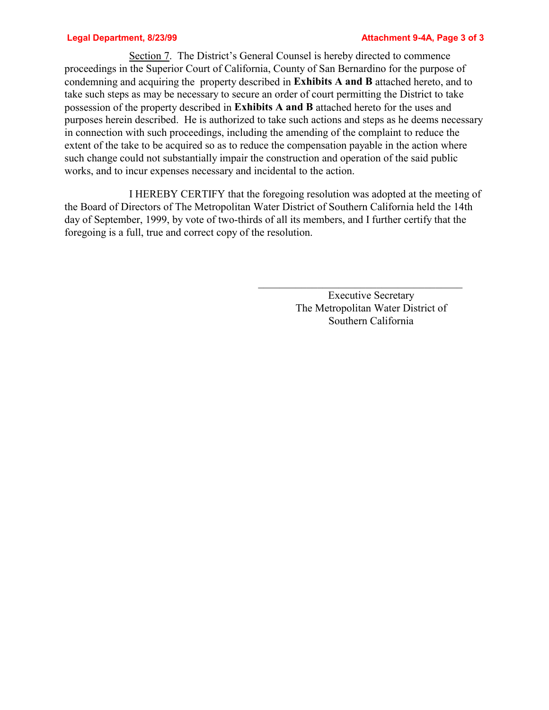Section 7. The District's General Counsel is hereby directed to commence proceedings in the Superior Court of California, County of San Bernardino for the purpose of condemning and acquiring the property described in **Exhibits A and B** attached hereto, and to take such steps as may be necessary to secure an order of court permitting the District to take possession of the property described in **Exhibits A and B** attached hereto for the uses and purposes herein described. He is authorized to take such actions and steps as he deems necessary in connection with such proceedings, including the amending of the complaint to reduce the extent of the take to be acquired so as to reduce the compensation payable in the action where such change could not substantially impair the construction and operation of the said public works, and to incur expenses necessary and incidental to the action.

I HEREBY CERTIFY that the foregoing resolution was adopted at the meeting of the Board of Directors of The Metropolitan Water District of Southern California held the 14th day of September, 1999, by vote of two-thirds of all its members, and I further certify that the foregoing is a full, true and correct copy of the resolution.

> Executive Secretary The Metropolitan Water District of Southern California

 $\mathcal{L}_\text{max}$  and  $\mathcal{L}_\text{max}$  and  $\mathcal{L}_\text{max}$  and  $\mathcal{L}_\text{max}$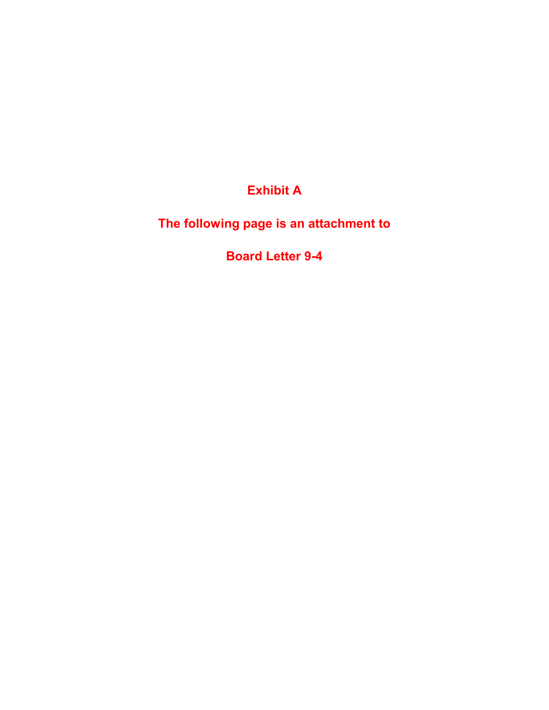**Exhibit A**

**The following page is an attachment to**

**Board Letter 9-4**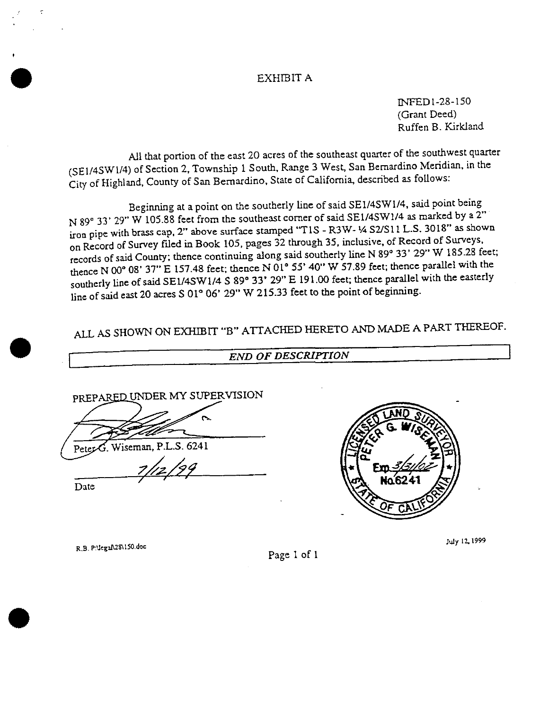#### EXHIBIT A

INFED1-28-150 (Grant Deed) Ruffen B. Kirkland

All that portion of the east 20 acres of the southeast quarter of the southwest quarter (SE1/4SW1/4) of Section 2, Township 1 South, Range 3 West, San Bernardino Meridian, in the City of Highland, County of San Bernardino, State of California, described as follows:

Beginning at a point on the southerly line of said SE1/4SW1/4, said point being N 89° 33' 29" W 105.88 feet from the southeast corner of said SE1/4SW1/4 as marked by a 2" iron pipe with brass cap, 2" above surface stamped "T1S - R3W- 1/4 S2/S11 L.S. 3018" as shown on Record of Survey filed in Book 105, pages 32 through 35, inclusive, of Record of Surveys, records of said County; thence continuing along said southerly line N 89° 33' 29" W 185.28 feet; thence N 00° 08' 37" E 157.48 feet; thence N 01° 55' 40" W 57.89 feet; thence parallel with the southerly line of said SE1/4SW1/4 S 89° 33' 29" E 191.00 feet; thence parallel with the easterly line of said east 20 acres S 01° 06' 29" W 215.33 feet to the point of beginning.

ALL AS SHOWN ON EXHIBIT "B" ATTACHED HERETO AND MADE A PART THEREOF.

PREPARED UNDER MY SUPERVISION

 $\frac{1}{2}$ /29

Wiseman, P.L.S. 6241

Date

R.B. P:\lega\\28\150.doc

Page 1 of 1

**END OF DESCRIPTION** 

July 12, 1999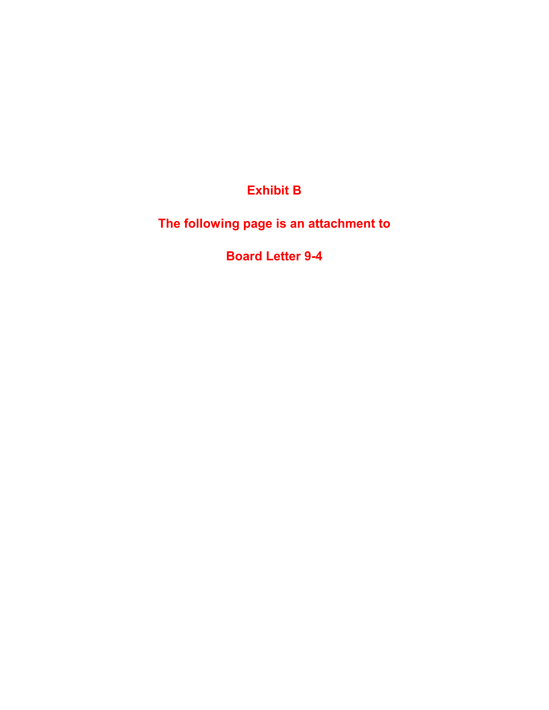**Exhibit B**

**The following page is an attachment to**

**Board Letter 9-4**